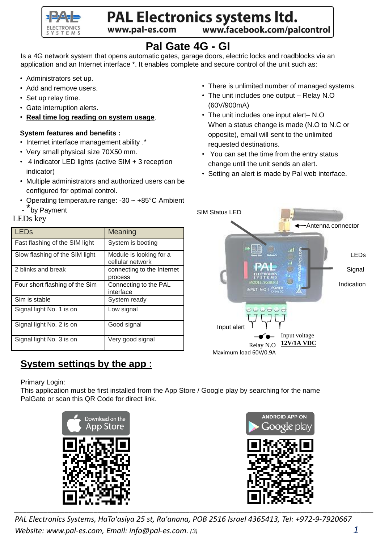

# PAL Electronics systems ltd.

www.pal-es.com

www.facebook.com/palcontrol

## **Pal Gate 4G - GI**

Is a 4G network system that opens automatic gates, garage doors, electric locks and roadblocks via an application and an Internet interface \*. It enables complete and secure control of the unit such as:

- Administrators set up.
- Add and remove users.
- Set up relay time.
- Gate interruption alerts.
- **Real time log reading on system usage**.

#### **System features and benefits :**

- Internet interface management ability .\*
- Very small physical size 70X50 mm.
- 4 indicator LED lights (active SIM + 3 reception indicator)
- Multiple administrators and authorized users can be configured for optimal control.
- Operating temperature range: -30 ~ +85°C Ambient
- <sup>\*</sup>by Payment

### LEDs key

| l LEDs                         | Meaning                                     |
|--------------------------------|---------------------------------------------|
| Fast flashing of the SIM light | System is booting                           |
| Slow flashing of the SIM light | Module is looking for a<br>cellular network |
| 2 blinks and break             | connecting to the Internet<br>process       |
| Four short flashing of the Sim | Connecting to the PAL<br>interface          |
| Sim is stable                  | System ready                                |
| Signal light No. 1 is on       | Low signal                                  |
| Signal light No. 2 is on       | Good signal                                 |
| Signal light No. 3 is on       | Very good signal                            |

## **System settings by the app :**

Primary Login:

This application must be first installed from the App Store / Google play by searching for the name PalGate or scan this QR Code for direct link.





*PAL Electronics Systems, HaTa'asiya 25 st, Ra'anana, POB 2516 Israel 4365413, Tel: +972-9-7920667 Website: www.pal-es.com, Email: info@pal-es.com. (3) 1*

- There is unlimited number of managed systems.
- The unit includes one output Relay N.O (60V/900mA)
- The unit includes one input alert– N.O When a status change is made (N.O to N.C or opposite), email will sent to the unlimited requested destinations.
- You can set the time from the entry status change until the unit sends an alert.
- Setting an alert is made by Pal web interface.